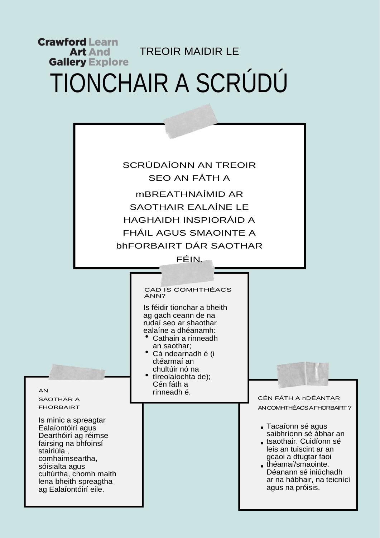## **Crawford Learn** TREOIR MAIDIR LE **Art And Gallery Explore** TIONCHAIR A SCRÚDÚ

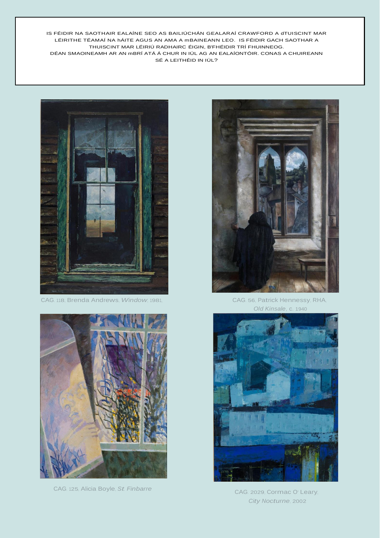IS FÉIDIR NA SAOTHAIR EALAÍNE SEO AS BAILIÚCHÁN GEALARAÍ CRAWFORD A dTUISCINT MAR LÉIRITHE TÉAMAÍ NA hÁITE AGUS AN AMA A mBAINEANN LEO. IS FÉIDIR GACH SAOTHAR A THUISCINT MAR LÉIRIÚ RADHAIRC ÉIGIN, B'FHÉIDIR TRÍ FHUINNEOG. DÉAN SMAOINEAMH AR AN mBRÍ ATÁ Á CHUR IN IÚL AG AN EALAÍONTÓIR. CONAS A CHUIREANN SÉ A LEITHÉID IN IÚL?



CAG. 118, Brenda Andrews, Window, 1981,



CAG. 125, Alicia Boyle, St. Finbarre



CAG. 56, Patrick Hennessy, RHA, Old Kinsale, c. 1940



CAG. 2029, Cormac O' Leary, City Nocturne, 2002